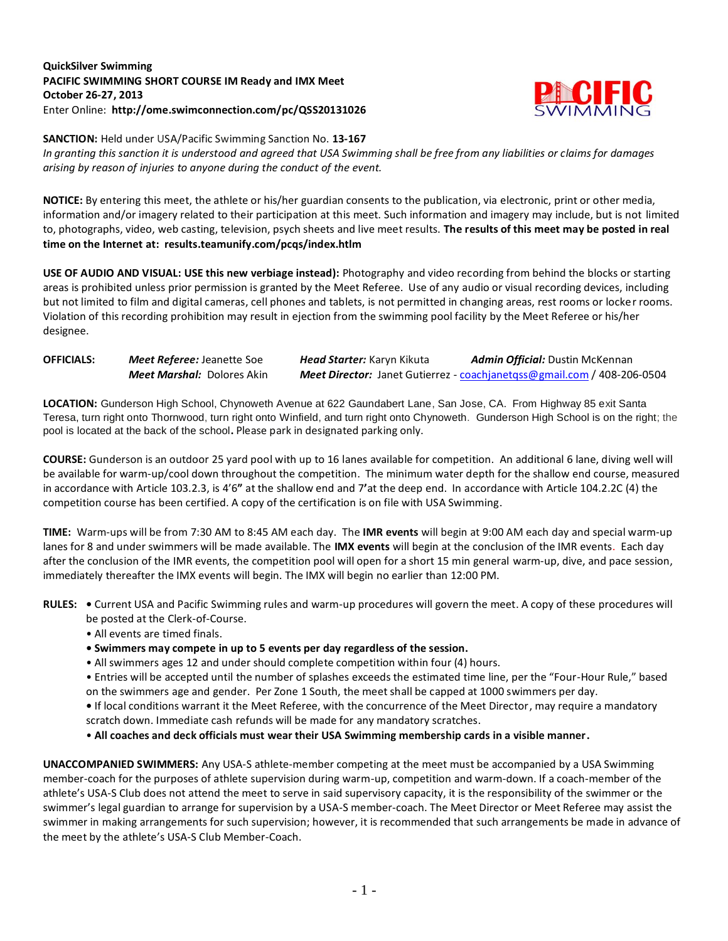## **QuickSilver Swimming PACIFIC SWIMMING SHORT COURSE IM Ready and IMX Meet October 26-27, 2013** Enter Online: **http://ome.swimconnection.com/pc/QSS20131026**



**SANCTION:** Held under USA/Pacific Swimming Sanction No. **13-167** *In granting this sanction it is understood and agreed that USA Swimming shall be free from any liabilities or claims for damages arising by reason of injuries to anyone during the conduct of the event.*

**NOTICE:** By entering this meet, the athlete or his/her guardian consents to the publication, via electronic, print or other media, information and/or imagery related to their participation at this meet. Such information and imagery may include, but is not limited to, photographs, video, web casting, television, psych sheets and live meet results. **The results of this meet may be posted in real time on the Internet at: results.teamunify.com/pcqs/index.htlm**

**USE OF AUDIO AND VISUAL: USE this new verbiage instead):** Photography and video recording from behind the blocks or starting areas is prohibited unless prior permission is granted by the Meet Referee. Use of any audio or visual recording devices, including but not limited to film and digital cameras, cell phones and tablets, is not permitted in changing areas, rest rooms or locker rooms. Violation of this recording prohibition may result in ejection from the swimming pool facility by the Meet Referee or his/her designee.

| <b>OFFICIALS:</b> | Meet Referee: Jeanette Soe        | <b>Head Starter:</b> Karyn Kikuta | <b>Admin Official:</b> Dustin McKennan                                  |
|-------------------|-----------------------------------|-----------------------------------|-------------------------------------------------------------------------|
|                   | <b>Meet Marshal:</b> Dolores Akin |                                   | Meet Director: Janet Gutierrez - coachjanetgss@gmail.com / 408-206-0504 |

**LOCATION:** Gunderson High School, Chynoweth Avenue at 622 Gaundabert Lane, San Jose, CA. From Highway 85 exit Santa Teresa, turn right onto Thornwood, turn right onto Winfield, and turn right onto Chynoweth. Gunderson High School is on the right; the pool is located at the back of the school**.** Please park in designated parking only.

**COURSE:** Gunderson is an outdoor 25 yard pool with up to 16 lanes available for competition.An additional 6 lane, diving well will be available for warm-up/cool down throughout the competition. The minimum water depth for the shallow end course, measured in accordance with Article 103.2.3, is 4'6**"** at the shallow end and 7**'**at the deep end. In accordance with Article 104.2.2C (4) the competition course has been certified. A copy of the certification is on file with USA Swimming.

**TIME:** Warm-ups will be from 7:30 AM to 8:45 AM each day. The **IMR events** will begin at 9:00 AM each day and special warm-up lanes for 8 and under swimmers will be made available. The **IMX events** will begin at the conclusion of the IMR events. Each day after the conclusion of the IMR events, the competition pool will open for a short 15 min general warm-up, dive, and pace session, immediately thereafter the IMX events will begin. The IMX will begin no earlier than 12:00 PM.

- **RULES:** Current USA and Pacific Swimming rules and warm-up procedures will govern the meet. A copy of these procedures will be posted at the Clerk-of-Course.
	- All events are timed finals.
	- **Swimmers may compete in up to 5 events per day regardless of the session.**
	- All swimmers ages 12 and under should complete competition within four (4) hours.
	- Entries will be accepted until the number of splashes exceeds the estimated time line, per the "Four-Hour Rule," based on the swimmers age and gender. Per Zone 1 South, the meet shall be capped at 1000 swimmers per day.

**•** If local conditions warrant it the Meet Referee, with the concurrence of the Meet Director, may require a mandatory scratch down. Immediate cash refunds will be made for any mandatory scratches.

• **All coaches and deck officials must wear their USA Swimming membership cards in a visible manner.** 

**UNACCOMPANIED SWIMMERS:** Any USA-S athlete-member competing at the meet must be accompanied by a USA Swimming member-coach for the purposes of athlete supervision during warm-up, competition and warm-down. If a coach-member of the athlete's USA-S Club does not attend the meet to serve in said supervisory capacity, it is the responsibility of the swimmer or the swimmer's legal guardian to arrange for supervision by a USA-S member-coach. The Meet Director or Meet Referee may assist the swimmer in making arrangements for such supervision; however, it is recommended that such arrangements be made in advance of the meet by the athlete's USA-S Club Member-Coach.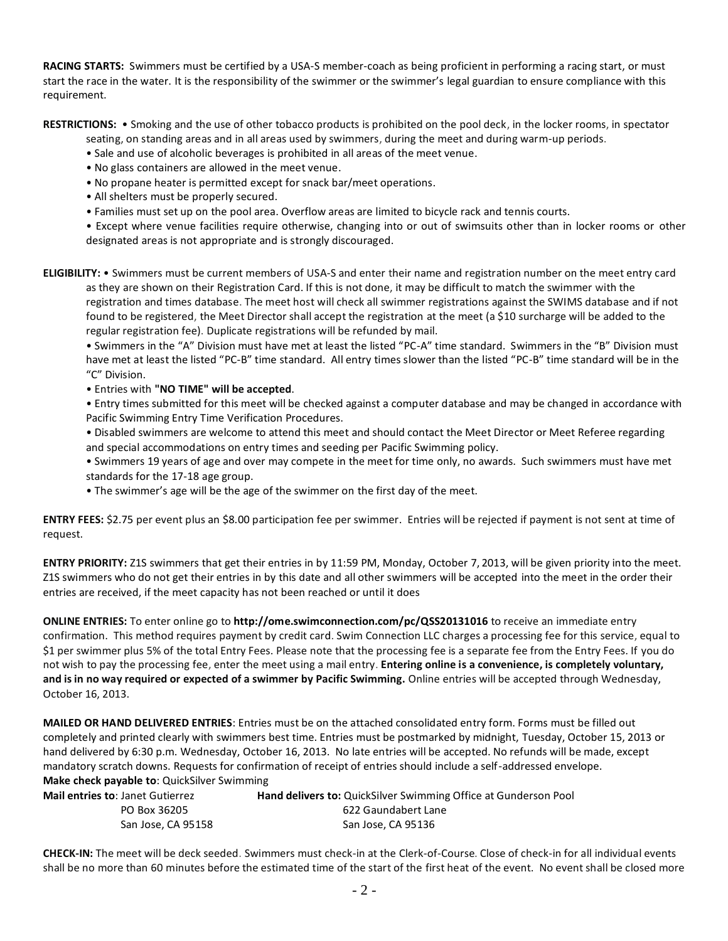**RACING STARTS:** Swimmers must be certified by a USA-S member-coach as being proficient in performing a racing start, or must start the race in the water. It is the responsibility of the swimmer or the swimmer's legal guardian to ensure compliance with this requirement.

**RESTRICTIONS:** • Smoking and the use of other tobacco products is prohibited on the pool deck, in the locker rooms, in spectator

seating, on standing areas and in all areas used by swimmers, during the meet and during warm-up periods.

- Sale and use of alcoholic beverages is prohibited in all areas of the meet venue.
- No glass containers are allowed in the meet venue.
- No propane heater is permitted except for snack bar/meet operations.
- All shelters must be properly secured.
- Families must set up on the pool area. Overflow areas are limited to bicycle rack and tennis courts.

• Except where venue facilities require otherwise, changing into or out of swimsuits other than in locker rooms or other designated areas is not appropriate and is strongly discouraged.

**ELIGIBILITY:** • Swimmers must be current members of USA-S and enter their name and registration number on the meet entry card as they are shown on their Registration Card. If this is not done, it may be difficult to match the swimmer with the registration and times database. The meet host will check all swimmer registrations against the SWIMS database and if not found to be registered, the Meet Director shall accept the registration at the meet (a \$10 surcharge will be added to the regular registration fee). Duplicate registrations will be refunded by mail.

• Swimmers in the "A" Division must have met at least the listed "PC-A" time standard. Swimmers in the "B" Division must have met at least the listed "PC-B" time standard. All entry times slower than the listed "PC-B" time standard will be in the "C" Division.

• Entries with **"NO TIME" will be accepted**.

• Entry times submitted for this meet will be checked against a computer database and may be changed in accordance with Pacific Swimming Entry Time Verification Procedures.

• Disabled swimmers are welcome to attend this meet and should contact the Meet Director or Meet Referee regarding and special accommodations on entry times and seeding per Pacific Swimming policy.

- Swimmers 19 years of age and over may compete in the meet for time only, no awards. Such swimmers must have met standards for the 17-18 age group.
- The swimmer's age will be the age of the swimmer on the first day of the meet.

**ENTRY FEES:** \$2.75 per event plus an \$8.00 participation fee per swimmer. Entries will be rejected if payment is not sent at time of request.

**ENTRY PRIORITY:** Z1S swimmers that get their entries in by 11:59 PM, Monday, October 7, 2013, will be given priority into the meet. Z1S swimmers who do not get their entries in by this date and all other swimmers will be accepted into the meet in the order their entries are received, if the meet capacity has not been reached or until it does

**ONLINE ENTRIES:** To enter online go to **http://ome.swimconnection.com/pc/QSS20131016** to receive an immediate entry confirmation. This method requires payment by credit card. Swim Connection LLC charges a processing fee for this service, equal to \$1 per swimmer plus 5% of the total Entry Fees. Please note that the processing fee is a separate fee from the Entry Fees. If you do not wish to pay the processing fee, enter the meet using a mail entry. **Entering online is a convenience, is completely voluntary, and is in no way required or expected of a swimmer by Pacific Swimming.** Online entries will be accepted through Wednesday, October 16, 2013.

**MAILED OR HAND DELIVERED ENTRIES**: Entries must be on the attached consolidated entry form. Forms must be filled out completely and printed clearly with swimmers best time. Entries must be postmarked by midnight, Tuesday, October 15, 2013 or hand delivered by 6:30 p.m. Wednesday, October 16, 2013. No late entries will be accepted. No refunds will be made, except mandatory scratch downs. Requests for confirmation of receipt of entries should include a self-addressed envelope. **Make check payable to**: QuickSilver Swimming

| <b>Mail entries to: Janet Gutierrez</b> | <b>Hand delivers to:</b> QuickSilver Swimming Office at Gunderson Pool |
|-----------------------------------------|------------------------------------------------------------------------|
| PO Box 36205                            | 622 Gaundabert Lane                                                    |
| San Jose, CA 95158                      | San Jose, CA 95136                                                     |

**CHECK-IN:** The meet will be deck seeded. Swimmers must check-in at the Clerk-of-Course. Close of check-in for all individual events shall be no more than 60 minutes before the estimated time of the start of the first heat of the event. No event shall be closed more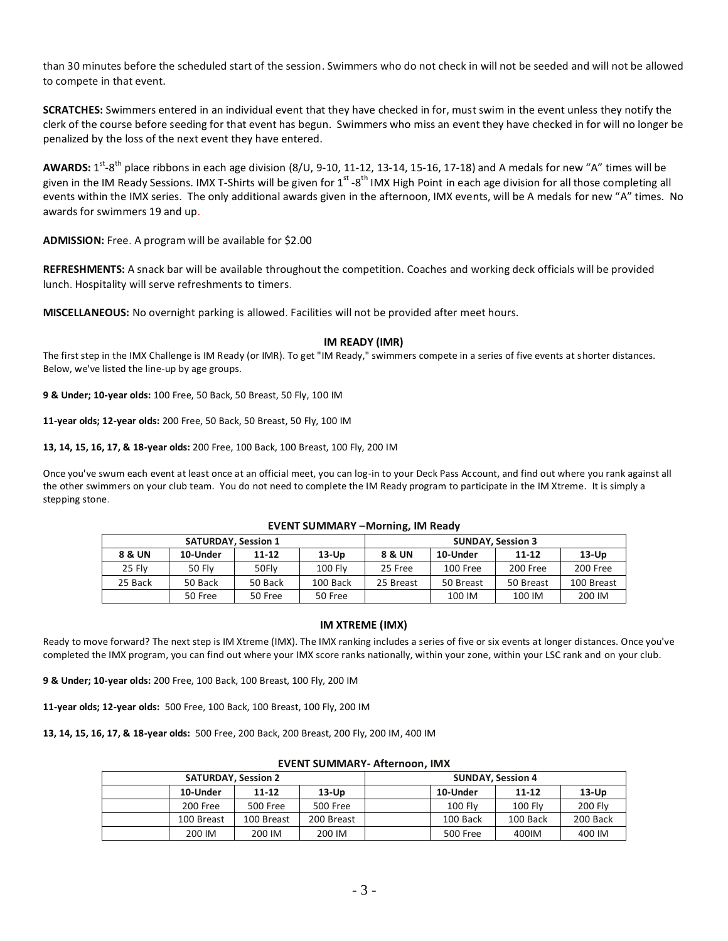than 30 minutes before the scheduled start of the session. Swimmers who do not check in will not be seeded and will not be allowed to compete in that event.

**SCRATCHES:** Swimmers entered in an individual event that they have checked in for, must swim in the event unless they notify the clerk of the course before seeding for that event has begun. Swimmers who miss an event they have checked in for will no longer be penalized by the loss of the next event they have entered.

AWARDS: 1<sup>st</sup>-8<sup>th</sup> place ribbons in each age division (8/U, 9-10, 11-12, 13-14, 15-16, 17-18) and A medals for new "A" times will be given in the IM Ready Sessions. IMX T-Shirts will be given for 1<sup>st</sup> -8<sup>th</sup> IMX High Point in each age division for all those completing all events within the IMX series. The only additional awards given in the afternoon, IMX events, will be A medals for new "A" times. No awards for swimmers 19 and up.

**ADMISSION:** Free. A program will be available for \$2.00

**REFRESHMENTS:** A snack bar will be available throughout the competition. Coaches and working deck officials will be provided lunch. Hospitality will serve refreshments to timers.

**MISCELLANEOUS:** No overnight parking is allowed. Facilities will not be provided after meet hours.

### **IM READY (IMR)**

The first step in the IMX Challenge is IM Ready (or IMR). To get "IM Ready," swimmers compete in a series of five events at shorter distances. Below, we've listed the line-up by age groups.

**9 & Under; 10-year olds:** 100 Free, 50 Back, 50 Breast, 50 Fly, 100 IM

**11-year olds; 12-year olds:** 200 Free, 50 Back, 50 Breast, 50 Fly, 100 IM

**13, 14, 15, 16, 17, & 18-year olds:** 200 Free, 100 Back, 100 Breast, 100 Fly, 200 IM

Once you've swum each event at least once at an official meet, you can log-in to your Deck Pass Account, and find out where you rank against all the other swimmers on your club team. You do not need to complete the IM Ready program to participate in the IM Xtreme. It is simply a stepping stone.

| <b>SATURDAY, Session 1</b> |               |           |                |           | <b>SUNDAY, Session 3</b> |           |            |
|----------------------------|---------------|-----------|----------------|-----------|--------------------------|-----------|------------|
| 8 & UN                     | 10-Under      | $11 - 12$ | $13-Up$        | 8 & UN    | 10-Under                 | $11 - 12$ | $13-Up$    |
| 25 Flv                     | <b>50 Flv</b> | 50Flv     | <b>100 Flv</b> | 25 Free   | $100$ Free               | 200 Free  | 200 Free   |
| 25 Back                    | 50 Back       | 50 Back   | 100 Back       | 25 Breast | 50 Breast                | 50 Breast | 100 Breast |
|                            | 50 Free       | 50 Free   | 50 Free        |           | 100 IM                   | 100 IM    | 200 IM     |

#### **EVENT SUMMARY –Morning, IM Ready**

#### **IM XTREME (IMX)**

Ready to move forward? The next step is IM Xtreme (IMX). The IMX ranking includes a series of five or six events at longer distances. Once you've completed the IMX program, you can find out where your IMX score ranks nationally, within your zone, within your LSC rank and on your club.

**9 & Under; 10-year olds:** 200 Free, 100 Back, 100 Breast, 100 Fly, 200 IM

**11-year olds; 12-year olds:** 500 Free, 100 Back, 100 Breast, 100 Fly, 200 IM

**13, 14, 15, 16, 17, & 18-year olds:** 500 Free, 200 Back, 200 Breast, 200 Fly, 200 IM, 400 IM

|                            |            |            | LVLIVI JUIVIIVIAINI TAILLIIVUIII IIVIA |                          |                |                |
|----------------------------|------------|------------|----------------------------------------|--------------------------|----------------|----------------|
| <b>SATURDAY, Session 2</b> |            |            |                                        | <b>SUNDAY, Session 4</b> |                |                |
| 10-Under                   | $11 - 12$  | $13-Up$    |                                        | 10-Under                 | $11 - 12$      | $13-Up$        |
| 200 Free                   | 500 Free   | 500 Free   |                                        | <b>100 Flv</b>           | <b>100 Flv</b> | <b>200 Flv</b> |
| 100 Breast                 | 100 Breast | 200 Breast |                                        | 100 Back                 | 100 Back       | 200 Back       |
| 200 IM                     | 200 IM     | 200 IM     |                                        | 500 Free                 | 400IM          | 400 IM         |

#### **EVENT SUMMARY- Afternoon, IMX**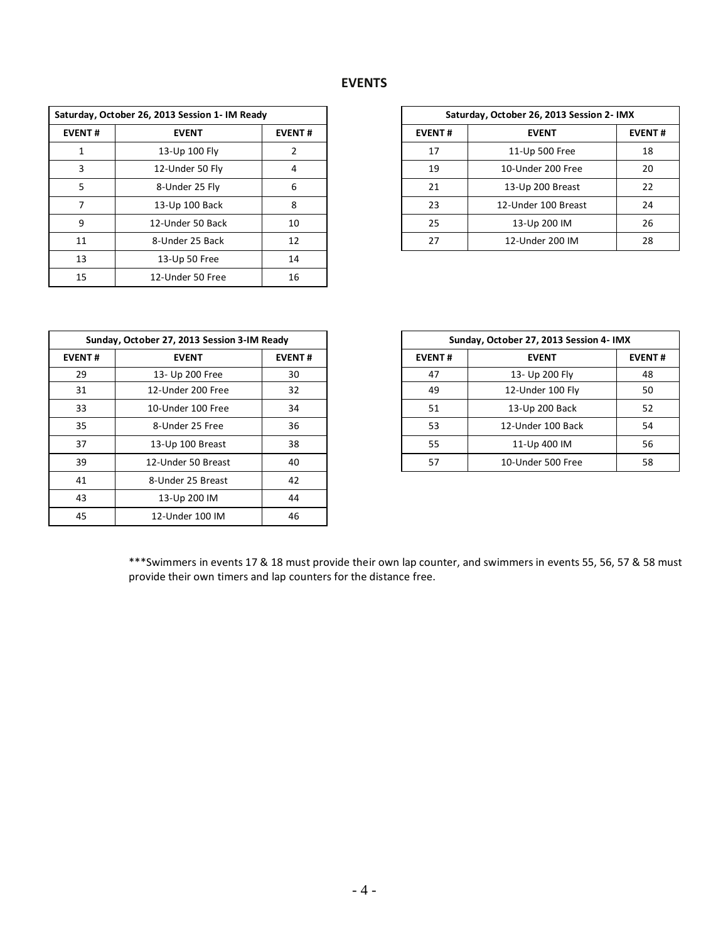# **EVENTS**

|               | Saturday, October 26, 2013 Session 1- IM Ready |               |
|---------------|------------------------------------------------|---------------|
| <b>EVENT#</b> | <b>EVENT</b>                                   | <b>EVENT#</b> |
|               | 13-Up 100 Fly                                  |               |
| 3             | 12-Under 50 Fly                                | 4             |
| 5             | 8-Under 25 Fly                                 | 6             |
|               | 13-Up 100 Back                                 | 8             |
| 9             | 12-Under 50 Back                               | 10            |
| 11            | 8-Under 25 Back                                | 12            |
| 13            | 13-Up 50 Free                                  | 14            |
| 15            | 12-Under 50 Free                               | 16            |

|                | rday, October 26, 2013 Session 1- IM Ready |               |               | Saturday, October 26, 2013 Session 2- IMX |               |
|----------------|--------------------------------------------|---------------|---------------|-------------------------------------------|---------------|
| ENT#           | <b>EVENT</b>                               | <b>EVENT#</b> | <b>EVENT#</b> | <b>EVENT</b>                              | <b>EVENT#</b> |
| 1              | 13-Up 100 Fly                              |               | 17            | 11-Up 500 Free                            | 18            |
| $\overline{3}$ | 12-Under 50 Fly                            |               | 19            | 10-Under 200 Free                         | 20            |
| 5              | 8-Under 25 Fly                             | 6             | 21            | 13-Up 200 Breast                          | 22            |
| 7              | 13-Up 100 Back                             | 8             | 23            | 12-Under 100 Breast                       | 24            |
| 9              | 12-Under 50 Back                           | 10            | 25            | 13-Up 200 IM                              | 26            |
| 11             | 8-Under 25 Back                            | 12            | 27            | 12-Under 200 IM                           | 28            |
|                |                                            |               |               |                                           |               |

|               | Sunday, October 27, 2013 Session 3-IM Ready |               |               | Sunday, October 27, 2013 Session 4- IMX |
|---------------|---------------------------------------------|---------------|---------------|-----------------------------------------|
| <b>EVENT#</b> | <b>EVENT</b>                                | <b>EVENT#</b> | <b>EVENT#</b> | <b>EVENT</b>                            |
| 29            | 13- Up 200 Free                             | 30            | 47            | 13- Up 200 Fly                          |
| 31            | 12-Under 200 Free                           | 32            | 49            | 12-Under 100 Fly                        |
| 33            | 10-Under 100 Free                           | 34            | 51            | 13-Up 200 Back                          |
| 35            | 8-Under 25 Free                             | 36            | 53            | 12-Under 100 Back                       |
| 37            | 13-Up 100 Breast                            | 38            | 55            | 11-Up 400 IM                            |
| 39            | 12-Under 50 Breast                          | 40            | 57            | 10-Under 500 Free                       |
| 41            | 8-Under 25 Breast                           | 42            |               |                                         |
| 43            | 13-Up 200 IM                                | 44            |               |                                         |
| 45            | 12-Under 100 IM                             | 46            |               |                                         |

|               | Sunday, October 27, 2013 Session 3-IM Ready |               |               | Sunday, October 27, 2013 Session 4- IMX |               |
|---------------|---------------------------------------------|---------------|---------------|-----------------------------------------|---------------|
| <b>EVENT#</b> | <b>EVENT</b>                                | <b>EVENT#</b> | <b>EVENT#</b> | <b>EVENT</b>                            | <b>EVENT#</b> |
|               | 13- Up 200 Free                             | 30            | 47            | 13- Up 200 Fly                          |               |
| 31            | 12-Under 200 Free                           | 32            | 49            | 12-Under 100 Fly                        |               |
| 33            | 10-Under 100 Free                           | 34            | 51            | 13-Up 200 Back                          |               |
| 35            | 8-Under 25 Free                             | 36            | 53            | 12-Under 100 Back                       |               |
| 37            | 13-Up 100 Breast                            | 38            | 55            | 11-Up 400 IM                            |               |
| 39            | 12-Under 50 Breast                          | 40            | 57            | 10-Under 500 Free                       |               |

\*\*\*Swimmers in events 17 & 18 must provide their own lap counter, and swimmers in events 55, 56, 57 & 58 must provide their own timers and lap counters for the distance free.